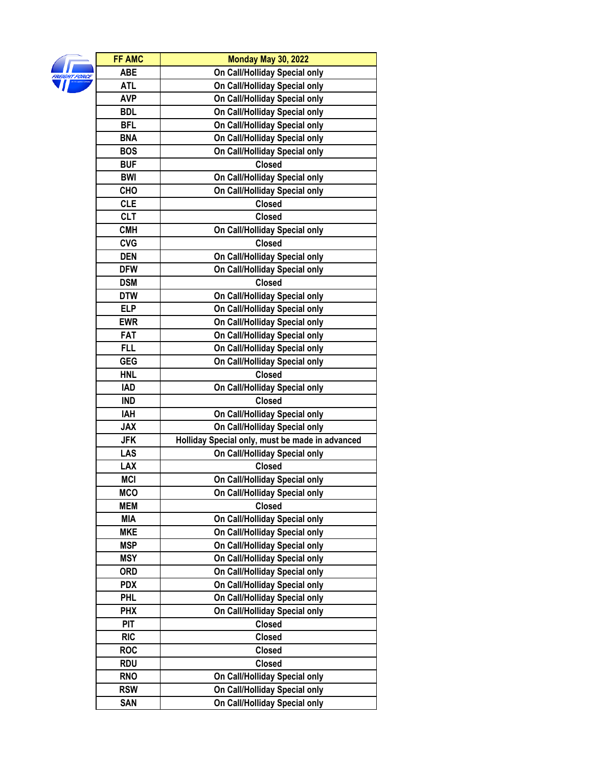| FREIGHT FORCL |
|---------------|
|               |

| <b>FF AMC</b> | <b>Monday May 30, 2022</b>                      |
|---------------|-------------------------------------------------|
| ABE           | On Call/Holliday Special only                   |
| <b>ATL</b>    | On Call/Holliday Special only                   |
| <b>AVP</b>    | On Call/Holliday Special only                   |
| <b>BDL</b>    | On Call/Holliday Special only                   |
| <b>BFL</b>    | On Call/Holliday Special only                   |
| <b>BNA</b>    | On Call/Holliday Special only                   |
| <b>BOS</b>    | On Call/Holliday Special only                   |
| <b>BUF</b>    | <b>Closed</b>                                   |
| <b>BWI</b>    | On Call/Holliday Special only                   |
| CHO           | On Call/Holliday Special only                   |
| <b>CLE</b>    | <b>Closed</b>                                   |
| <b>CLT</b>    | <b>Closed</b>                                   |
| <b>CMH</b>    | On Call/Holliday Special only                   |
| <b>CVG</b>    | <b>Closed</b>                                   |
| <b>DEN</b>    | On Call/Holliday Special only                   |
| <b>DFW</b>    | On Call/Holliday Special only                   |
| <b>DSM</b>    | <b>Closed</b>                                   |
| <b>DTW</b>    | On Call/Holliday Special only                   |
| <b>ELP</b>    | On Call/Holliday Special only                   |
| <b>EWR</b>    | On Call/Holliday Special only                   |
| <b>FAT</b>    | On Call/Holliday Special only                   |
| <b>FLL</b>    | On Call/Holliday Special only                   |
| <b>GEG</b>    | On Call/Holliday Special only                   |
| <b>HNL</b>    | <b>Closed</b>                                   |
| <b>IAD</b>    | On Call/Holliday Special only                   |
| <b>IND</b>    | <b>Closed</b>                                   |
| <b>IAH</b>    | On Call/Holliday Special only                   |
| <b>JAX</b>    | On Call/Holliday Special only                   |
| <b>JFK</b>    | Holliday Special only, must be made in advanced |
| LAS           | On Call/Holliday Special only                   |
| <b>LAX</b>    | <b>Closed</b>                                   |
| <b>MCI</b>    | On Call/Holliday Special only                   |
| <b>MCO</b>    | On Call/Holliday Special only                   |
| <b>MEM</b>    | <b>Closed</b>                                   |
| <b>MIA</b>    | On Call/Holliday Special only                   |
| <b>MKE</b>    | On Call/Holliday Special only                   |
| <b>MSP</b>    | On Call/Holliday Special only                   |
| <b>MSY</b>    | On Call/Holliday Special only                   |
| <b>ORD</b>    | On Call/Holliday Special only                   |
| <b>PDX</b>    | On Call/Holliday Special only                   |
| <b>PHL</b>    | On Call/Holliday Special only                   |
| <b>PHX</b>    | On Call/Holliday Special only                   |
| <b>PIT</b>    | <b>Closed</b>                                   |
| <b>RIC</b>    | <b>Closed</b>                                   |
| <b>ROC</b>    | <b>Closed</b>                                   |
| RDU           | <b>Closed</b>                                   |
| <b>RNO</b>    | On Call/Holliday Special only                   |
| <b>RSW</b>    | On Call/Holliday Special only                   |
| <b>SAN</b>    | On Call/Holliday Special only                   |